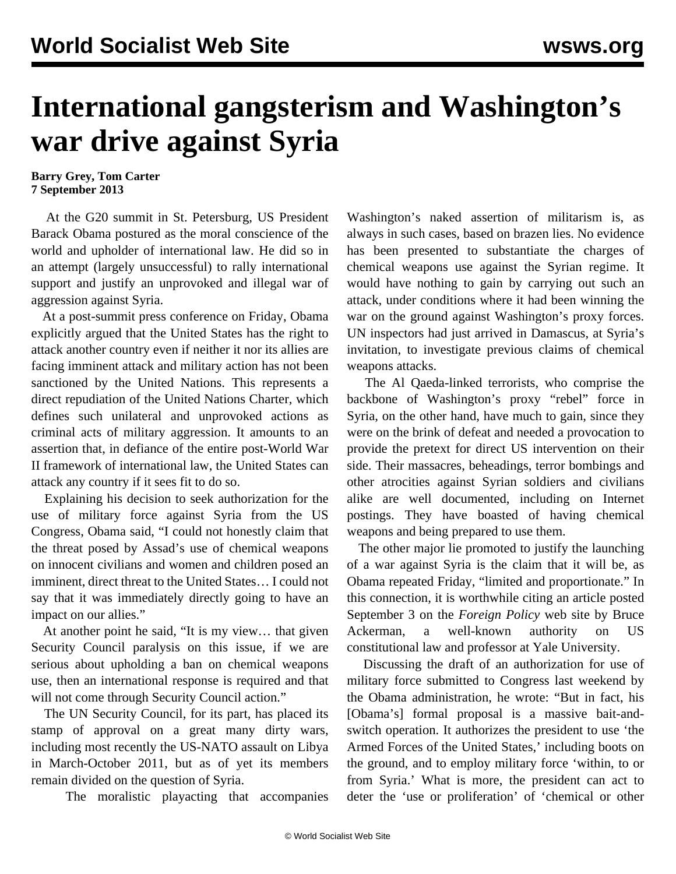## **International gangsterism and Washington's war drive against Syria**

## **Barry Grey, Tom Carter 7 September 2013**

 At the G20 summit in St. Petersburg, US President Barack Obama postured as the moral conscience of the world and upholder of international law. He did so in an attempt (largely unsuccessful) to rally international support and justify an unprovoked and illegal war of aggression against Syria.

 At a post-summit press conference on Friday, Obama explicitly argued that the United States has the right to attack another country even if neither it nor its allies are facing imminent attack and military action has not been sanctioned by the United Nations. This represents a direct repudiation of the United Nations Charter, which defines such unilateral and unprovoked actions as criminal acts of military aggression. It amounts to an assertion that, in defiance of the entire post-World War II framework of international law, the United States can attack any country if it sees fit to do so.

 Explaining his decision to seek authorization for the use of military force against Syria from the US Congress, Obama said, "I could not honestly claim that the threat posed by Assad's use of chemical weapons on innocent civilians and women and children posed an imminent, direct threat to the United States… I could not say that it was immediately directly going to have an impact on our allies."

 At another point he said, "It is my view… that given Security Council paralysis on this issue, if we are serious about upholding a ban on chemical weapons use, then an international response is required and that will not come through Security Council action."

 The UN Security Council, for its part, has placed its stamp of approval on a great many dirty wars, including most recently the US-NATO assault on Libya in March-October 2011, but as of yet its members remain divided on the question of Syria.

The moralistic playacting that accompanies

Washington's naked assertion of militarism is, as always in such cases, based on brazen lies. No evidence has been presented to substantiate the charges of chemical weapons use against the Syrian regime. It would have nothing to gain by carrying out such an attack, under conditions where it had been winning the war on the ground against Washington's proxy forces. UN inspectors had just arrived in Damascus, at Syria's invitation, to investigate previous claims of chemical weapons attacks.

 The Al Qaeda-linked terrorists, who comprise the backbone of Washington's proxy "rebel" force in Syria, on the other hand, have much to gain, since they were on the brink of defeat and needed a provocation to provide the pretext for direct US intervention on their side. Their massacres, beheadings, terror bombings and other atrocities against Syrian soldiers and civilians alike are well documented, including on Internet postings. They have boasted of having chemical weapons and being prepared to use them.

 The other major lie promoted to justify the launching of a war against Syria is the claim that it will be, as Obama repeated Friday, "limited and proportionate." In this connection, it is worthwhile citing an article posted September 3 on the *Foreign Policy* web site by Bruce Ackerman, a well-known authority on US constitutional law and professor at Yale University.

 Discussing the draft of an authorization for use of military force submitted to Congress last weekend by the Obama administration, he wrote: "But in fact, his [Obama's] formal proposal is a massive bait-andswitch operation. It authorizes the president to use 'the Armed Forces of the United States,' including boots on the ground, and to employ military force 'within, to or from Syria.' What is more, the president can act to deter the 'use or proliferation' of 'chemical or other